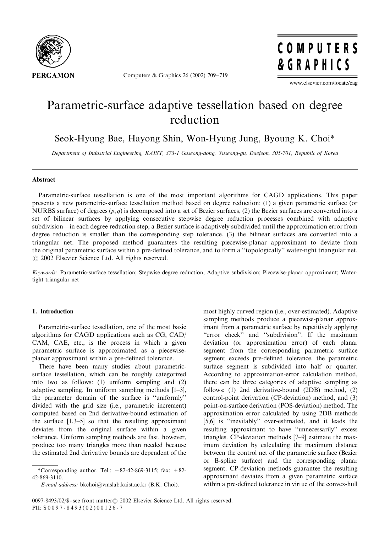

Computers & Graphics 26 (2002) 709–719

COMPUTERS & GRAPHICS

www.elsevier.com/locate/cag

# Parametric-surface adaptive tessellation based on degree reduction

Seok-Hyung Bae, Hayong Shin, Won-Hyung Jung, Byoung K. Choi\*

Department of Industrial Engineering, KAIST, 373-1 Guseong-dong, Yuseong-gu, Daejeon, 305-701, Republic of Korea

## Abstract

Parametric-surface tessellation is one of the most important algorithms for CAGD applications. This paper presents a new parametric-surface tessellation method based on degree reduction: (1) a given parametric surface (or NURBS surface) of degrees  $(p, q)$  is decomposed into a set of Bezier surfaces, (2) the Bezier surfaces are converted into a set of bilinear surfaces by applying consecutive stepwise degree reduction processes combined with adaptive subdivision—in each degree reduction step, a Bezier surface is adaptively subdivided until the approximation error from degree reduction is smaller than the corresponding step tolerance, (3) the bilinear surfaces are converted into a triangular net. The proposed method guarantees the resulting piecewise-planar approximant to deviate from the original parametric surface within a pre-defined tolerance, and to form a ''topologically'' water-tight triangular net.  $\odot$  2002 Elsevier Science Ltd. All rights reserved.

Keywords: Parametric-surface tessellation; Stepwise degree reduction; Adaptive subdivision; Piecewise-planar approximant; Watertight triangular net

## 1. Introduction

Parametric-surface tessellation, one of the most basic algorithms for CAGD applications such as CG, CAD/ CAM, CAE, etc., is the process in which a given parametric surface is approximated as a piecewiseplanar approximant within a pre-defined tolerance.

There have been many studies about parametricsurface tessellation, which can be roughly categorized into two as follows: (1) uniform sampling and (2) adaptive sampling. In uniform sampling methods [1–3], the parameter domain of the surface is ''uniformly'' divided with the grid size (i.e., parametric increment) computed based on 2nd derivative-bound estimation of the surface [1,3–5] so that the resulting approximant deviates from the original surface within a given tolerance. Uniform sampling methods are fast, however, produce too many triangles more than needed because the estimated 2nd derivative bounds are dependent of the

most highly curved region (i.e., over-estimated). Adaptive sampling methods produce a piecewise-planar approximant from a parametric surface by repetitively applying "error check" and "subdivision". If the maximum deviation (or approximation error) of each planar segment from the corresponding parametric surface segment exceeds pre-defined tolerance, the parametric surface segment is subdivided into half or quarter. According to approximation-error calculation method, there can be three categories of adaptive sampling as follows: (1) 2nd derivative-bound (2DB) method, (2) control-point derivation (CP-deviation) method, and (3) point-on-surface derivation (POS-deviation) method. The approximation error calculated by using 2DB methods [5,6] is ''inevitably'' over-estimated, and it leads the resulting approximant to have ''unnecessarily'' excess triangles. CP-deviation methods [7–9] estimate the maximum deviation by calculating the maximum distance between the control net of the parametric surface (Bezier or B-spline surface) and the corresponding planar segment. CP-deviation methods guarantee the resulting approximant deviates from a given parametric surface within a pre-defined tolerance in virtue of the convex-hull

<sup>\*</sup>Corresponding author. Tel.:  $+82-42-869-3115$ ; fax:  $+82-$ 42-869-3110.

E-mail address: bkchoi@vmslab.kaist.ac.kr (B.K. Choi).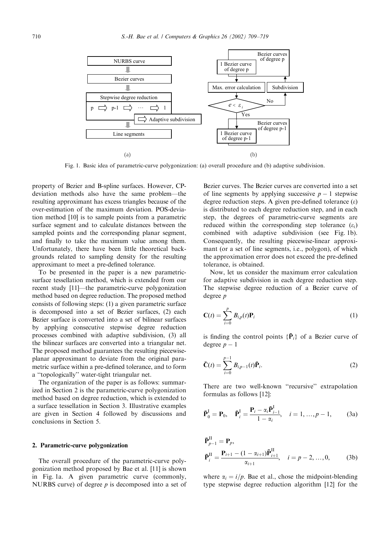

Fig. 1. Basic idea of parametric-curve polygonization: (a) overall procedure and (b) adaptive subdivision.

property of Bezier and B-spline surfaces. However, CPdeviation methods also have the same problem—the resulting approximant has excess triangles because of the over-estimation of the maximum deviation. POS-deviation method [10] is to sample points from a parametric surface segment and to calculate distances between the sampled points and the corresponding planar segment, and finally to take the maximum value among them. Unfortunately, there have been little theoretical backgrounds related to sampling density for the resulting approximant to meet a pre-defined tolerance.

To be presented in the paper is a new parametricsurface tessellation method, which is extended from our recent study [11]—the parametric-curve polygonization method based on degree reduction. The proposed method consists of following steps: (1) a given parametric surface is decomposed into a set of Bezier surfaces, (2) each Bezier surface is converted into a set of bilinear surfaces by applying consecutive stepwise degree reduction processes combined with adaptive subdivision, (3) all the bilinear surfaces are converted into a triangular net. The proposed method guarantees the resulting piecewiseplanar approximant to deviate from the original parametric surface within a pre-defined tolerance, and to form a ''topologically'' water-tight triangular net.

The organization of the paper is as follows: summarized in Section 2 is the parametric-curve polygonization method based on degree reduction, which is extended to a surface tessellation in Section 3. Illustrative examples are given in Section 4 followed by discussions and conclusions in Section 5.

#### 2. Parametric-curve polygonization

The overall procedure of the parametric-curve polygonization method proposed by Bae et al. [11] is shown in Fig. 1a. A given parametric curve (commonly, NURBS curve) of degree  $p$  is decomposed into a set of

Bezier curves. The Bezier curves are converted into a set of line segments by applying successive  $p - 1$  stepwise degree reduction steps. A given pre-defined tolerance  $(\varepsilon)$ is distributed to each degree reduction step, and in each step, the degrees of parametric-curve segments are reduced within the corresponding step tolerance  $(\varepsilon_i)$ combined with adaptive subdivision (see Fig. 1b). Consequently, the resulting piecewise-linear approximant (or a set of line segments, i.e., polygon), of which the approximation error does not exceed the pre-defined tolerance, is obtained.

Now, let us consider the maximum error calculation for adaptive subdivision in each degree reduction step. The stepwise degree reduction of a Bezier curve of degree p

$$
\mathbf{C}(t) = \sum_{i=0}^{p} B_{i,p}(t) \mathbf{P}_i
$$
\n(1)

is finding the control points  $\{\bar{P}_i\}$  of a Bezier curve of degree  $p-1$ 

$$
\bar{\mathbf{C}}(t) = \sum_{i=0}^{p-1} B_{i,p-1}(t) \bar{\mathbf{P}}_i.
$$
 (2)

There are two well-known ''recursive'' extrapolation formulas as follows [12]:

$$
\bar{\mathbf{P}}_0^{\text{I}} = \mathbf{P}_0, \quad \bar{\mathbf{P}}_i^{\text{I}} = \frac{\mathbf{P}_i - \alpha_i \bar{\mathbf{P}}_{i-1}^{\text{I}}}{1 - \alpha_i}, \quad i = 1, ..., p - 1,
$$
\n(3a)

$$
\begin{aligned} \bar{\mathbf{P}}_{p-1}^{\text{II}} &= \mathbf{P}_p, \\ \bar{\mathbf{P}}_i^{\text{II}} &= \frac{\mathbf{P}_{i+1} - (1 - \alpha_{i+1})\bar{\mathbf{P}}_{i+1}^{\text{II}}}{\alpha_{i+1}}, \quad i = p-2, \dots, 0, \end{aligned} \tag{3b}
$$

where  $\alpha_i = i/p$ . Bae et al., chose the midpoint-blending type stepwise degree reduction algorithm [12] for the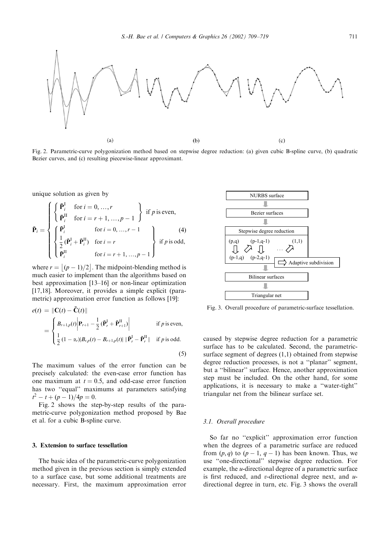

Fig. 2. Parametric-curve polygonization method based on stepwise degree reduction: (a) given cubic B-spline curve, (b) quadratic Bezier curves, and (c) resulting piecewise-linear approximant.

unique solution as given by

$$
\mathbf{\bar{P}}_{i} = \begin{cases}\n\left\{\begin{array}{ll}\n\mathbf{\bar{P}}_{i}^{\mathrm{I}} & \text{for } i = 0, \dots, r \\
\mathbf{\bar{P}}_{i}^{\mathrm{II}} & \text{for } i = r+1, \dots, p-1\n\end{array}\right\} & \text{if } p \text{ is even,} \\
\left\{\begin{array}{ll}\n\mathbf{\bar{P}}_{i}^{\mathrm{I}} & \text{for } i = 0, \dots, r-1 \\
\frac{1}{2}(\mathbf{\bar{P}}_{i}^{\mathrm{I}} + \mathbf{\bar{P}}_{i}^{\mathrm{II}}) & \text{for } i = r \\
\mathbf{\bar{P}}_{i}^{\mathrm{II}} & \text{for } i = r+1, \dots, p-1\n\end{array}\right\} & \text{if } p \text{ is odd,} \\
\end{cases}
$$

where  $r = |(p-1)/2|$ . The midpoint-blending method is much easier to implement than the algorithms based on best approximation [13–16] or non-linear optimization [17,18]. Moreover, it provides a simple explicit (parametric) approximation error function as follows [19]:

$$
e(t) = \|\mathbf{C}(t) - \bar{\mathbf{C}}(t)\|
$$
  
= 
$$
\begin{cases} B_{r+1,p}(t) \Big| \mathbf{P}_{r+1} - \frac{1}{2} (\bar{\mathbf{P}}_r^{\mathrm{I}} + \bar{\mathbf{P}}_{r+1}^{\mathrm{II}}) \Big| & \text{if } p \text{ is even,} \\ \frac{1}{2} (1 - \alpha_r) |B_{r,p}(t) - B_{r+1,p}(t)| \|\bar{\mathbf{P}}_r^{\mathrm{I}} - \bar{\mathbf{P}}_r^{\mathrm{II}}\| & \text{if } p \text{ is odd.} \end{cases}
$$
(5)

The maximum values of the error function can be precisely calculated: the even-case error function has one maximum at  $t = 0.5$ , and odd-case error function has two "equal" maximums at parameters satisfying  $t^2 - t + (p - 1)/4p = 0.$ 

Fig. 2 shows the step-by-step results of the parametric-curve polygonization method proposed by Bae et al. for a cubic B-spline curve.

## 3. Extension to surface tessellation

The basic idea of the parametric-curve polygonization method given in the previous section is simply extended to a surface case, but some additional treatments are necessary. First, the maximum approximation error



Fig. 3. Overall procedure of parametric-surface tessellation.

caused by stepwise degree reduction for a parametric surface has to be calculated. Second, the parametricsurface segment of degrees (1,1) obtained from stepwise degree reduction processes, is not a ''planar'' segment, but a ''bilinear'' surface. Hence, another approximation step must be included. On the other hand, for some applications, it is necessary to make a ''water-tight'' triangular net from the bilinear surface set.

## 3.1. Overall procedure

So far no ''explicit'' approximation error function when the degrees of a parametric surface are reduced from  $(p, q)$  to  $(p - 1, q - 1)$  has been known. Thus, we use ''one-directional'' stepwise degree reduction. For example, the u-directional degree of a parametric surface is first reduced, and  $v$ -directional degree next, and  $u$ directional degree in turn, etc. Fig. 3 shows the overall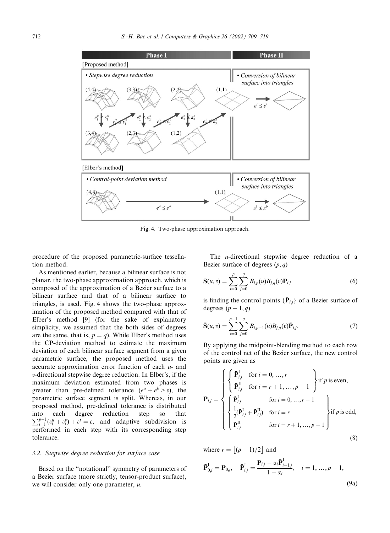

Fig. 4. Two-phase approximation approach.

procedure of the proposed parametric-surface tessellation method.

As mentioned earlier, because a bilinear surface is not planar, the two-phase approximation approach, which is composed of the approximation of a Bezier surface to a bilinear surface and that of a bilinear surface to triangles, is used. Fig. 4 shows the two-phase approximation of the proposed method compared with that of Elber's method [9] (for the sake of explanatory simplicity, we assumed that the both sides of degrees are the same, that is,  $p = q$ ). While Elber's method uses the CP-deviation method to estimate the maximum deviation of each bilinear surface segment from a given parametric surface, the proposed method uses the accurate approximation error function of each  $u$ - and v-directional stepwise degree reduction. In Elber's, if the maximum deviation estimated from two phases is greater than pre-defined tolerance  $(e^a + e^b > \varepsilon)$ , the parametric surface segment is split. Whereas, in our proposed method, pre-defined tolerance is distributed into each degree reduction step so that  $\sum_{i=1}^{p-1} (\varepsilon_i^u + \varepsilon_i^v) + \varepsilon^t = \varepsilon$ , and adaptive subdivision is performed in each step with its corresponding step tolerance.

# 3.2. Stepwise degree reduction for surface case

Based on the ''notational'' symmetry of parameters of a Bezier surface (more strictly, tensor-product surface), we will consider only one parameter,  $u$ .

The u-directional stepwise degree reduction of a Bezier surface of degrees  $(p, q)$ 

$$
S(u, v) = \sum_{i=0}^{p} \sum_{j=0}^{q} B_{i,p}(u) B_{j,q}(v) P_{i,j}
$$
(6)

is finding the control points  $\{\bar{P}_{i,j}\}\$  of a Bezier surface of degrees  $(p-1, q)$ 

$$
\bar{\mathbf{S}}(u,v) = \sum_{i=0}^{p-1} \sum_{j=0}^{q} B_{i,p-1}(u) B_{j,q}(v) \bar{\mathbf{P}}_{i,j}.
$$
 (7)

By applying the midpoint-blending method to each row of the control net of the Bezier surface, the new control points are given as

$$
\bar{\mathbf{P}}_{i,j} = \begin{cases}\n\begin{cases}\n\bar{\mathbf{P}}_{i,j}^{\mathrm{I}} & \text{for } i = 0, \dots, r \\
\bar{\mathbf{P}}_{i,j}^{\mathrm{II}} & \text{for } i = r+1, \dots, p-1\n\end{cases}\n\end{cases}\n\quad\n\bar{\mathbf{P}}_{i,j} = \begin{cases}\n\bar{\mathbf{P}}_{i,j}^{\mathrm{I}} & \text{for } i = 0, \dots, r-1 \\
\frac{1}{2}(\bar{\mathbf{P}}_{i,j}^{\mathrm{I}} + \bar{\mathbf{P}}_{i,j}^{\mathrm{II}}) & \text{for } i = r \\
\bar{\mathbf{P}}_{i,j}^{\mathrm{II}} & \text{for } i = r+1, \dots, p-1\n\end{cases}\n\quad\n\text{if } p \text{ is odd,}
$$
\n(8)

where  $r = |(p-1)/2|$  and

$$
\bar{\mathbf{P}}_{0,j}^{\mathrm{I}} = \mathbf{P}_{0,j}, \quad \bar{\mathbf{P}}_{i,j}^{\mathrm{I}} = \frac{\mathbf{P}_{i,j} - \alpha_i \bar{\mathbf{P}}_{i-1,j}^{\mathrm{I}}}{1 - \alpha_i}, \quad i = 1, ..., p - 1,
$$
\n(9a)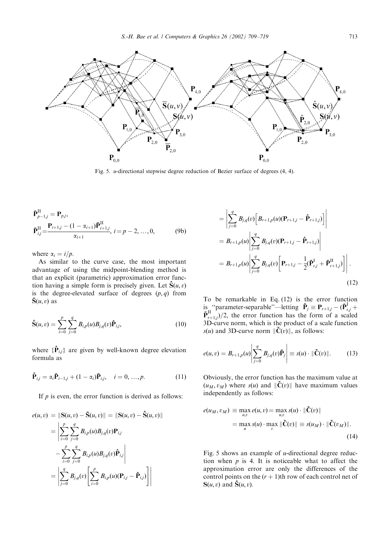

Fig. 5. u-directional stepwise degree reduction of Bezier surface of degrees (4, 4).

$$
\begin{aligned}\n\bar{\mathbf{P}}_{p-1,j}^{\text{II}} &= \mathbf{P}_{pj}, \\
\bar{\mathbf{P}}_{i,j}^{\text{II}} &= \frac{\mathbf{P}_{i+1,j} - (1 - \alpha_{i+1})\bar{\mathbf{P}}_{i+1,j}^{\text{II}}}{\alpha_{i+1}}, \ i = p-2, \dots, 0,\n\end{aligned} \tag{9b}
$$

where  $\alpha_i = i/p$ .

As similar to the curve case, the most important advantage of using the midpoint-blending method is that an explicit (parametric) approximation error function having a simple form is precisely given. Let  $\hat{S}(u, v)$ is the degree-elevated surface of degrees  $(p, q)$  from  $\bar{S}(u, v)$  as

$$
\hat{\mathbf{S}}(u,v) = \sum_{i=0}^{p} \sum_{j=0}^{q} B_{i,p}(u) B_{j,q}(v) \hat{\mathbf{P}}_{i,j},
$$
\n(10)

where  $\{\hat{P}_{i,j}\}$  are given by well-known degree elevation formula as

$$
\hat{\mathbf{P}}_{i,j} = \alpha_i \bar{\mathbf{P}}_{i-1,j} + (1 - \alpha_i) \bar{\mathbf{P}}_{i,j}, \quad i = 0, \dots, p. \tag{11}
$$

If  $p$  is even, the error function is derived as follows:

$$
e(u, v) = \|S(u, v) - \tilde{S}(u, v)\| = \|S(u, v) - \hat{S}(u, v)\|
$$
  
= 
$$
\left| \sum_{i=0}^{p} \sum_{j=0}^{q} B_{i,p}(u) B_{j,q}(v) P_{i,j} \right|
$$
  

$$
- \sum_{i=0}^{p} \sum_{j=0}^{q} B_{i,p}(u) B_{j,q}(v) \hat{P}_{i,j} \right|
$$
  
= 
$$
\left| \sum_{j=0}^{q} B_{j,q}(v) \left[ \sum_{i=0}^{p} B_{i,p}(u) (P_{i,j} - \hat{P}_{i,j}) \right] \right|
$$

$$
= \left| \sum_{j=0}^{q} B_{j,q}(v) \left[ B_{r+1,p}(u) (\mathbf{P}_{r+1,j} - \hat{\mathbf{P}}_{r+1,j}) \right] \right|
$$
  
\n
$$
= B_{r+1,p}(u) \left| \sum_{j=0}^{q} B_{j,q}(v) (\mathbf{P}_{r+1,j} - \hat{\mathbf{P}}_{r+1,j}) \right|
$$
  
\n
$$
= B_{r+1,p}(u) \left| \sum_{j=0}^{q} B_{j,q}(v) \left[ \mathbf{P}_{r+1,j} - \frac{1}{2} (\bar{\mathbf{P}}_{r,j}^{I} + \bar{\mathbf{P}}_{r+1,j}^{II}) \right] \right|.
$$
  
\n(12)

To be remarkable in Eq. (12) is the error function is "parameter-separable"—letting  $\tilde{P}_j \equiv P_{r+1,j} - (\bar{P}_{r,j}^I +$  $\overline{\mathbf{P}}_{r+1,j}^{\text{II}}$  /2, the error function has the form of a scaled 3D-curve norm, which is the product of a scale function  $s(u)$  and 3D-curve norm  $\|\tilde{C}(v)\|$ , as follows:

$$
e(u, v) = B_{r+1,p}(u) \left| \sum_{j=0}^{q} B_{j,q}(v) \tilde{\mathbf{P}}_j \right| \equiv s(u) \cdot || \tilde{\mathbf{C}}(v) ||. \tag{13}
$$

Obviously, the error function has the maximum value at  $(u_M, v_M)$  where  $s(u)$  and  $\|\tilde{C}(v)\|$  have maximum values independently as follows:

$$
e(u_M, v_M) \equiv \max_{u,v} e(u, v) = \max_{u,v} s(u) \cdot \|\tilde{\mathbf{C}}(v)\|
$$
  
= 
$$
\max_u s(u) \cdot \max_v \|\tilde{\mathbf{C}}(v)\| \equiv s(u_M) \cdot \|\tilde{\mathbf{C}}(v_M)\|.
$$
 (14)

Fig. 5 shows an example of  $u$ -directional degree reduction when  $p$  is 4. It is noticeable what to affect the approximation error are only the differences of the control points on the  $(r + 1)$ th row of each control net of  $S(u, v)$  and  $\hat{S}(u, v)$ .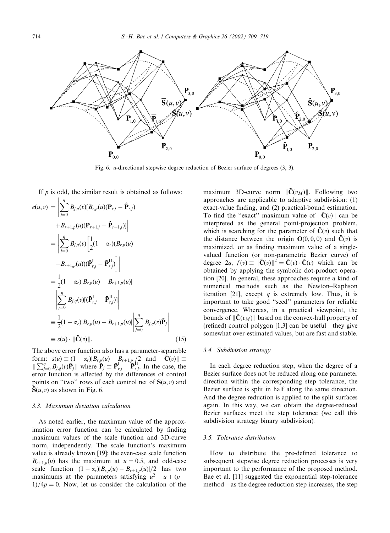

Fig. 6. u-directional stepwise degree reduction of Bezier surface of degrees (3, 3).

If  $p$  is odd, the similar result is obtained as follows: Î

$$
e(u, v) = \left| \sum_{j=0}^{q} B_{j,q}(v)[B_{r,p}(u)(\mathbf{P}_{r,j} - \hat{\mathbf{P}}_{r,j}) + B_{r+1,p}(u)(\mathbf{P}_{r+1,j} - \hat{\mathbf{P}}_{r+1,j})]\right|
$$
  
\n
$$
= \left| \sum_{j=0}^{q} B_{j,q}(v) \left[ \frac{1}{2} (1 - \alpha_r)(B_{r,p}(u) - B_{r+1,p}(u)) (\bar{\mathbf{P}}_{r,j}^{I} - \bar{\mathbf{P}}_{r,j}^{II}) \right] \right|
$$
  
\n
$$
= \frac{1}{2} (1 - \alpha_r)|B_{r,p}(u) - B_{r+1,p}(u)|
$$
  
\n
$$
\left| \sum_{j=0}^{q} B_{j,q}(v)[(\bar{\mathbf{P}}_{r,j}^{I} - \bar{\mathbf{P}}_{r,j}^{II})] \right|
$$
  
\n
$$
\equiv \frac{1}{2} (1 - \alpha_r)|B_{r,p}(u) - B_{r+1,p}(u)| \left| \sum_{j=0}^{q} B_{j,q}(v)\tilde{\mathbf{P}}_{j} \right|
$$
  
\n
$$
\equiv s(u) \cdot \|\tilde{\mathbf{C}}(v)\|.
$$
 (15)

The above error function also has a parameter-separable form:  $s(u) \equiv (1 - \alpha_r)|B_{r,p}(u) - B_{r+1,p}||/2$  and  $\|\tilde{\mathbf{C}}(v)\| \equiv$ <br> $\|\sum_{j=0}^q B_{j,q}(v)\tilde{\mathbf{P}}_j\|$  where  $\tilde{\mathbf{P}}_j \equiv \tilde{\mathbf{P}}_{r,j}^{\mathsf{I}} - \tilde{\mathbf{P}}_{r,j}^{\mathsf{I}}$ . In the case, the  $\sum_{j=0}^{\infty}$   $\sum_{j,q \in \mathcal{S}}$   $\sum_{j,q \in \mathcal{S}}$   $\sum_{j,q \in \mathcal{S}}$   $\sum_{j,q \in \mathcal{S}}$   $\sum_{j,q \in \mathcal{S}}$   $\sum_{j,q \in \mathcal{S}}$   $\sum_{j,q \in \mathcal{S}}$   $\sum_{j,q \in \mathcal{S}}$   $\sum_{j,q \in \mathcal{S}}$   $\sum_{j,q \in \mathcal{S}}$   $\sum_{j,q \in \mathcal{S}}$   $\sum_{j,q \in \mathcal{S}}$   $\sum_{j,q \in \mathcal{S}}$ points on "two" rows of each control net of  $S(u, v)$  and  $\hat{S}(u, v)$  as shown in Fig. 6.

#### 3.3. Maximum deviation calculation

As noted earlier, the maximum value of the approximation error function can be calculated by finding maximum values of the scale function and 3D-curve norm, independently. The scale function's maximum value is already known [19]; the even-case scale function  $B_{r+1,p}(u)$  has the maximum at  $u = 0.5$ , and odd-case scale function  $(1 - \alpha_r)|B_{r,p}(u) - B_{r+1,p}(u)|/2$  has two maximums at the parameters satisfying  $u^2 - u + (p 1)/4p = 0$ . Now, let us consider the calculation of the

maximum 3D-curve norm  $\|\tilde{\mathbf{C}}(v_M)\|$ . Following two approaches are applicable to adaptive subdivision: (1) exact-value finding, and (2) practical-bound estimation. To find the "exact" maximum value of  $\|\tilde{C}(v)\|$  can be interpreted as the general point-projection problem, which is searching for the parameter of  $\tilde{C}(v)$  such that the distance between the origin  $\mathbf{O}(0,0,0)$  and  $\tilde{\mathbf{C}}(v)$  is maximized, or as finding maximum value of a singlevalued function (or non-parametric Bezier curve) of degree  $2q$ ,  $f(v) \equiv \|\mathbf{C}(v)\|^2 = \mathbf{C}(v) \cdot \mathbf{C}(v)$  which can be obtained by applying the symbolic dot-product operaobtained by applying the symbolic dot-product operation [20]. In general, these approaches require a kind of numerical methods such as the Newton–Raphson iteration [21], except q is extremely low. Thus, it is important to take good ''seed'' parameters for reliable convergence. Whereas, in a practical viewpoint, the bounds of  $\|\tilde{\mathbf{C}}(v_M)\|$  based on the convex-hull property of (refined) control polygon [1,3] can be useful—they give somewhat over-estimated values, but are fast and stable.

#### 3.4. Subdivision strategy

In each degree reduction step, when the degree of a Bezier surface does not be reduced along one parameter direction within the corresponding step tolerance, the Bezier surface is split in half along the same direction. And the degree reduction is applied to the split surfaces again. In this way, we can obtain the degree-reduced Bezier surfaces meet the step tolerance (we call this subdivision strategy binary subdivision).

## 3.5. Tolerance distribution

How to distribute the pre-defined tolerance to subsequent stepwise degree reduction processes is very important to the performance of the proposed method. Bae et al. [11] suggested the exponential step-tolerance method—as the degree reduction step increases, the step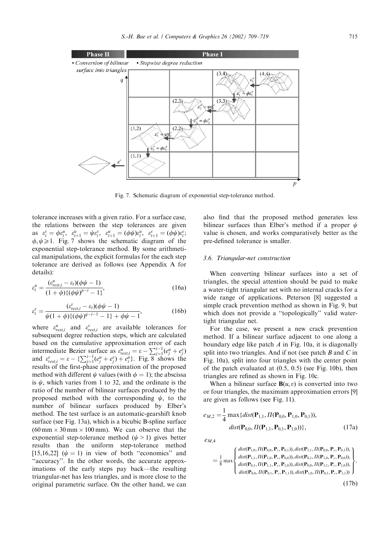

Fig. 7. Schematic diagram of exponential step-tolerance method.

tolerance increases with a given ratio. For a surface case, the relations between the step tolerances are given as  $\varepsilon_i^v = \phi \varepsilon_i^u$ ,  $\varepsilon_{i+1}^u = \psi \varepsilon_i^v$ ,  $\varepsilon_{i+1}^u = (\phi \psi) \varepsilon_i^u$ ,  $\varepsilon_{i+1}^v = (\phi \psi) \varepsilon_i^v$ ;  $\phi, \psi \geq 1$ . Fig. 7 shows the schematic diagram of the exponential step-tolerance method. By some arithmetical manipulations, the explicit formulas for the each step tolerance are derived as follows (see Appendix A for details):

$$
\varepsilon_i^u = \frac{(\varepsilon_{rest,i}^u - \varepsilon_t)(\phi\psi - 1)}{(1 + \phi)\{(\phi\psi)^{p-1} - 1\}},
$$
\n(16a)

$$
\varepsilon_i^v = \frac{(\varepsilon_{rest,i}^v - \varepsilon_t)(\phi\psi - 1)}{\psi(1 + \phi)\{(\phi\psi)^{q-i-1} - 1\} + \phi\psi - 1},\tag{16b}
$$

where  $\varepsilon_{rest,i}^{u}$  and  $\varepsilon_{rest,i}^{v}$  are available tolerances for subsequent degree reduction steps, which are calculated based on the cumulative approximation error of each intermediate Bezier surface as  $\varepsilon_{rest,i}^u = \varepsilon - \sum_{j=1}^{i-1} (e_j^u + e_j^v)$ and  $\varepsilon_{rest,i}^{v} = \varepsilon - \{ \sum_{j=1}^{i-1} (e_j^u + e_j^v) + e_i^u \}.$  Fig. 8 shows the results of the first-phase approximation of the proposed method with different  $\psi$  values (with  $\phi = 1$ ); the abscissa is  $\psi$ , which varies from 1 to 32, and the ordinate is the ratio of the number of bilinear surfaces produced by the proposed method with the corresponding  $\psi$ , to the number of bilinear surfaces produced by Elber's method. The test surface is an automatic-gearshift knob surface (see Fig. 13a), which is a bicubic B-spline surface  $(60 \text{ mm} \times 30 \text{ mm} \times 100 \text{ mm})$ . We can observe that the exponential step-tolerance method  $(\psi > 1)$  gives better results than the uniform step-tolerance method [15,16,22]  $(\psi = 1)$  in view of both "economics" and "accuracy". In the other words, the accurate approximations of the early steps pay back—the resulting triangular-net has less triangles, and is more close to the original parametric surface. On the other hand, we can also find that the proposed method generates less bilinear surfaces than Elber's method if a proper  $\psi$ value is chosen, and works comparatively better as the pre-defined tolerance is smaller.

## 3.6. Triangular-net construction

When converting bilinear surfaces into a set of triangles, the special attention should be paid to make a water-tight triangular net with no internal cracks for a wide range of applications. Peterson [8] suggested a simple crack prevention method as shown in Fig. 9, but which does not provide a ''topologically'' valid watertight triangular net.

For the case, we present a new crack prevention method. If a bilinear surface adjacent to one along a boundary edge like patch  $A$  in Fig. 10a, it is diagonally split into two triangles. And if not (see patch  $B$  and  $C$  in Fig. 10a), split into four triangles with the center point of the patch evaluated at (0.5, 0.5) (see Fig. 10b), then triangles are refined as shown in Fig. 10c.

When a bilinear surface  $B(u, v)$  is converted into two or four triangles, the maximum approximation errors [9] are given as follows (see Fig. 11).

$$
e_{M,2} = \frac{1}{4} \max \{ dist(\mathbf{P}_{1,1}, \Pi(\mathbf{P}_{0,0}, \mathbf{P}_{1,0}, \mathbf{P}_{0,1})), dist(\mathbf{P}_{0,0}, \Pi(\mathbf{P}_{1,1}, \mathbf{P}_{0,1}, \mathbf{P}_{1,0})) \},
$$
(17a)

 $e_{M,4}$ 

$$
=\frac{1}{8}\max\left\{\begin{matrix}dist(\mathbf{P}_{1,0},\Pi(\mathbf{P}_{0,0},\mathbf{P}_c,\mathbf{P}_{0,1})),dist(\mathbf{P}_{1,1},\Pi(\mathbf{P}_{0,0},\mathbf{P}_c,\mathbf{P}_{0,1})),\\dist(\mathbf{P}_{1,1},\Pi(\mathbf{P}_{1,0},\mathbf{P}_c,\mathbf{P}_{0,0})),dist(\mathbf{P}_{0,1},\Pi(\mathbf{P}_{1,0},\mathbf{P}_c,\mathbf{P}_{0,0})),\\dist(\mathbf{P}_{0,1},\Pi(\mathbf{P}_{1,1},\mathbf{P}_c,\mathbf{P}_{1,0})),dist(\mathbf{P}_{0,0},\Pi(\mathbf{P}_{1,1},\mathbf{P}_c,\mathbf{P}_{1,0})),\\dist(\mathbf{P}_{0,0},\Pi(\mathbf{P}_{0,1},\mathbf{P}_c,\mathbf{P}_{1,1})),dist(\mathbf{P}_{1,0},\Pi(\mathbf{P}_{0,1},\mathbf{P}_c,\mathbf{P}_{1,1}))\end{matrix}\right\},
$$

 $(17b)$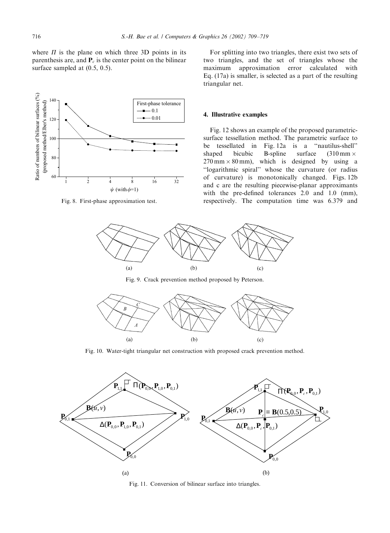where  $\Pi$  is the plane on which three 3D points in its parenthesis are, and  $P_c$  is the center point on the bilinear surface sampled at  $(0.5, 0.5)$ .



Fig. 8. First-phase approximation test.

For splitting into two triangles, there exist two sets of two triangles, and the set of triangles whose the maximum approximation error calculated with Eq. (17a) is smaller, is selected as a part of the resulting triangular net.

#### 4. Illustrative examples

Fig. 12 shows an example of the proposed parametricsurface tessellation method. The parametric surface to be tessellated in Fig. 12a is a ''nautilus-shell'' shaped bicubic B-spline surface  $(310 \text{ mm} \times$  $270 \text{ mm} \times 80 \text{ mm}$ , which is designed by using a ''logarithmic spiral'' whose the curvature (or radius of curvature) is monotonically changed. Figs. 12b and c are the resulting piecewise-planar approximants with the pre-defined tolerances 2.0 and 1.0 (mm), respectively. The computation time was 6.379 and



Fig. 9. Crack prevention method proposed by Peterson.



Fig. 10. Water-tight triangular net construction with proposed crack prevention method.



Fig. 11. Conversion of bilinear surface into triangles.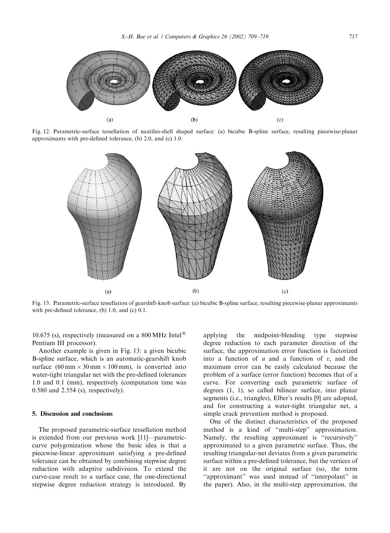

Fig. 12. Parametric-surface tessellation of nautilus-shell shaped surface: (a) bicubic B-spline surface, resulting piecewise-planar approximants with pre-defined tolerance, (b) 2.0, and (c) 1.0.



Fig. 13. Parametric-surface tessellation of gearshift-knob surface: (a) bicubic B-spline surface, resulting piecewise-planar approximants with pre-defined tolerance, (b) 1.0, and (c) 0.1.

10.675 (s), respectively (measured on a 800 MHz Intel<sup>®</sup> Pentium III processor).

Another example is given in Fig. 13: a given bicubic B-spline surface, which is an automatic-gearshift knob surface  $(60 \text{ mm} \times 30 \text{ mm} \times 100 \text{ mm})$ , is converted into water-tight triangular net with the pre-defined tolerances 1.0 and 0.1 (mm), respectively (computation time was 0.580 and 2.554 (s), respectively).

#### 5. Discussion and conclusions

The proposed parametric-surface tessellation method is extended from our previous work [11]—parametriccurve polygonization whose the basic idea is that a piecewise-linear approximant satisfying a pre-defined tolerance can be obtained by combining stepwise degree reduction with adaptive subdivision. To extend the curve-case result to a surface case, the one-directional stepwise degree reduction strategy is introduced. By

applying the midpoint-blending type stepwise degree reduction to each parameter direction of the surface, the approximation error function is factorized into a function of  $u$  and a function of  $v$ , and the maximum error can be easily calculated because the problem of a surface (error function) becomes that of a curve. For converting each parametric surface of degrees (1, 1), so called bilinear surface, into planar segments (i.e., triangles), Elber's results [9] are adopted, and for constructing a water-tight triangular net, a simple crack prevention method is proposed.

One of the distinct characteristics of the proposed method is a kind of ''multi-step'' approximation. Namely, the resulting approximant is ''recursively'' approximated to a given parametric surface. Thus, the resulting triangular-net deviates from a given parametric surface within a pre-defined tolerance, but the vertices of it are not on the original surface (so, the term ''approximant'' was used instead of ''interpolant'' in the paper). Also, in the multi-step approximation, the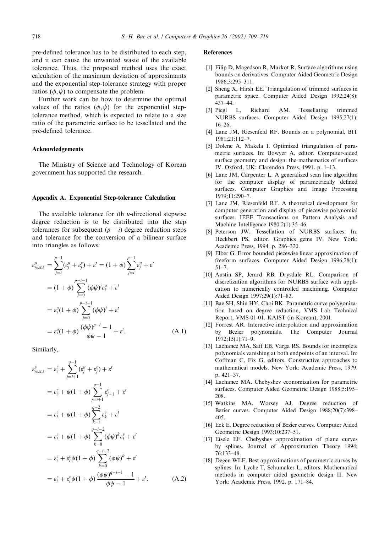pre-defined tolerance has to be distributed to each step, and it can cause the unwanted waste of the available tolerance. Thus, the proposed method uses the exact calculation of the maximum deviation of approximants and the exponential step-tolerance strategy with proper ratios  $(\phi, \psi)$  to compensate the problem.

Further work can be how to determine the optimal values of the ratios  $(\phi, \psi)$  for the exponential steptolerance method, which is expected to relate to a size ratio of the parametric surface to be tessellated and the pre-defined tolerance.

### Acknowledgements

The Ministry of Science and Technology of Korean government has supported the research.

#### Appendix A. Exponential Step-tolerance Calculation

The available tolerance for *th*  $*u*$ *-directional stepwise* degree reduction is to be distributed into the step tolerances for subsequent  $(p - i)$  degree reduction steps and tolerance for the conversion of a bilinear surface into triangles as follows:

$$
\varepsilon_{rest,i}^{u} = \sum_{j=i}^{p-1} (\varepsilon_j^{u} + \varepsilon_j^{v}) + \varepsilon^{t} = (1 + \phi) \sum_{j=i}^{p-1} \varepsilon_j^{u} + \varepsilon^{t}
$$
  
=  $(1 + \phi) \sum_{j=0}^{p-i-1} (\phi \psi)^{j} \varepsilon_j^{u} + \varepsilon^{t}$   
=  $\varepsilon_i^{u} (1 + \phi) \sum_{j=0}^{p-i-1} (\phi \psi)^{j} + \varepsilon^{t}$   
=  $\varepsilon_i^{u} (1 + \phi) \frac{(\phi \psi)^{p-i} - 1}{\phi \psi - 1} + \varepsilon^{t}.$  (A.1)

Similarly,

e

$$
e_{rest,i}^{v} = \varepsilon_{i}^{v} + \sum_{j=i+1}^{q-1} (\varepsilon_{j}^{u} + \varepsilon_{j}^{v}) + \varepsilon^{t}
$$
  
\n
$$
= \varepsilon_{i}^{v} + \psi(1+\phi) \sum_{j=i+1}^{q-1} \varepsilon_{j-1}^{v} + \varepsilon^{t}
$$
  
\n
$$
= \varepsilon_{i}^{v} + \psi(1+\phi) \sum_{k=i}^{q-2} \varepsilon_{k}^{v} + \varepsilon^{t}
$$
  
\n
$$
= \varepsilon_{i}^{v} + \psi(1+\phi) \sum_{k=0}^{q-i-2} (\phi\psi)^{k} \varepsilon_{i}^{v} + \varepsilon^{t}
$$
  
\n
$$
= \varepsilon_{i}^{v} + \varepsilon_{i}^{v} \psi(1+\phi) \sum_{k=0}^{q-i-2} (\phi\psi)^{k} + \varepsilon^{t}
$$
  
\n
$$
= \varepsilon_{i}^{v} + \varepsilon_{i}^{v} \psi(1+\phi) \frac{(\phi\psi)^{q-i-1} - 1}{\phi\psi - 1} + \varepsilon^{t}.
$$
 (A.2)

#### **References**

- [1] Filip D, Magedson R, Markot R. Surface algorithms using bounds on derivatives. Computer Aided Geometric Design 1986;3:295–311.
- [2] Sheng X, Hirsh EE. Triangulation of trimmed surfaces in parametric space. Computer Aided Design 1992;24(8): 437–44.
- [3] Piegl L, Richard AM. Tessellating trimmed NURBS surfaces. Computer Aided Design 1995;27(1): 16–26.
- [4] Lane JM, Riesenfeld RF. Bounds on a polynomial, BIT 1981;21:112–7.
- [5] Dolenc A, Makela I. Optimized triangulation of parametric surfaces. In: Bowyer A, editor. Computer-aided surface geometry and design: the mathematics of surfaces IV. Oxford, UK: Clarendon Press, 1991. p. 1–13.
- [6] Lane JM, Carpenter L. A generalized scan line algorithm for the computer display of parametrically defined surfaces. Computer Graphics and Image Processing 1979;11:290–7.
- [7] Lane JM, Riesenfeld RF. A theoretical development for computer generation and display of piecewise polynomial surfaces. IEEE Transactions on Pattern Analysis and Machine Intelligence 1980;2(1):35–46.
- [8] Peterson JW. Tessellation of NURBS surfaces. In: Heckbert PS, editor. Graphics gems IV. New York: Academic Press, 1994. p. 286–320.
- [9] Elber G. Error bounded piecewise linear approximation of freeform surfaces. Computer Aided Design 1996;28(1): 51–7.
- [10] Austin SP, Jerard RB, Drysdale RL. Comparison of discretization algorithms for NURBS surface with application to numerically controlled machining. Computer Aided Design 1997;29(1):71–83.
- [11] Bae SH, Shin HY, Choi BK. Parametric curve polygonization based on degree reduction, VMS Lab Technical Report, VMS-01-01. KAIST (in Korean), 2001.
- [12] Forrest AR. Interactive interpolation and approximation by Bezier polynomials. The Computer Journal 1972;15(1):71–9.
- [13] Lachance MA, Saff EB, Varga RS. Bounds for incomplete polynomials vanishing at both endpoints of an interval. In: Coffman C, Fix G, editors. Constructive approaches to mathematical models. New York: Academic Press, 1979. p. 421–37.
- [14] Lachance MA. Chebyshev economization for parametric surfaces. Computer Aided Geometric Design 1988;5:195– 208.
- [15] Watkins MA, Worsey AJ. Degree reduction of Bezier curves. Computer Aided Design 1988;20(7):398– 405.
- [16] Eck E. Degree reduction of Bezier curves. Computer Aided Geometric Design 1993;10:237–51.
- [17] Eisele EF. Chebyshev approximation of plane curves by splines. Journal of Approximation Theory 1994; 76:133–48.
- [18] Degen WLF. Best approximations of parametric curves by splines. In: Lyche T, Schumaker L, editors. Mathematical methods in computer aided geometric design II. New York: Academic Press, 1992. p. 171–84.